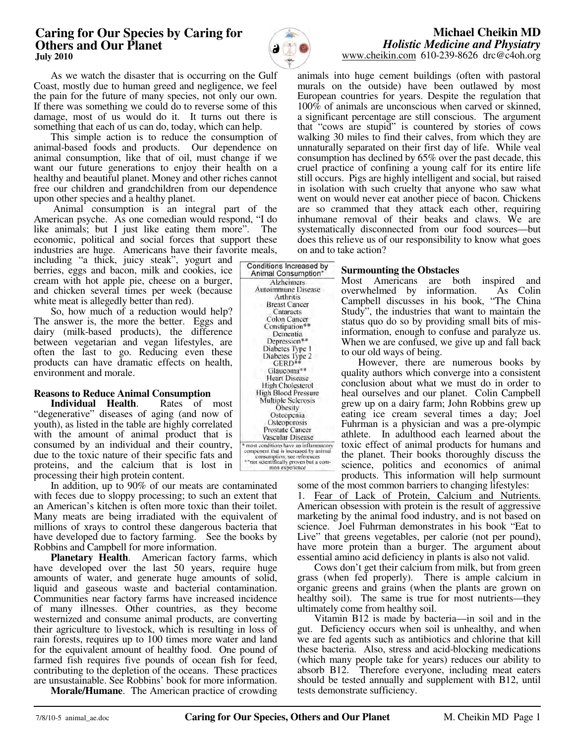## **Caring for Our Species by Caring for Others and Our Planet July 2010**

Conditions Increased by Animal Consumption\* Alzheimers Autoimmune Disease Arthritis **Breast Cancer** Cataracts Colon Cancer Constipation\* Dementia Depression\*\* Diabetes Type 1 Diabetes Type 2<br>GERD\*\* Glaucoma\*\* **Heart Disease** High Cholesterol **High Blood Pressure** Multiple Sclerosis Obesity Osteopenia Osteoporosis Prostate Cancer Vascular Disease most conditions have an inflammatory<br>component that is increased by animal consumption; see references<br>\*\*not scientifically proven but a common experience

## **Michael Cheikin MD** *Holistic Medicine and Physiatry* www.cheikin.com 610-239-8626 drc@c4oh.org

 As we watch the disaster that is occurring on the Gulf Coast, mostly due to human greed and negligence, we feel the pain for the future of many species, not only our own. If there was something we could do to reverse some of this damage, most of us would do it. It turns out there is something that each of us can do, today, which can help.

 This simple action is to reduce the consumption of animal-based foods and products. Our dependence on animal consumption, like that of oil, must change if we want our future generations to enjoy their health on a healthy and beautiful planet. Money and other riches cannot free our children and grandchildren from our dependence upon other species and a healthy planet.

 Animal consumption is an integral part of the American psyche. As one comedian would respond, "I do like animals; but I just like eating them more". The economic, political and social forces that support these industries are huge. Americans have their favorite meals,

including "a thick, juicy steak", yogurt and berries, eggs and bacon, milk and cookies, ice cream with hot apple pie, cheese on a burger, and chicken several times per week (because white meat is allegedly better than red).

 So, how much of a reduction would help? The answer is, the more the better. Eggs and dairy (milk-based products), the difference between vegetarian and vegan lifestyles, are often the last to go. Reducing even these products can have dramatic effects on health, environment and morale.

# **Reasons to Reduce Animal Consumption**

 **Individual Health**. Rates of most "degenerative" diseases of aging (and now of youth), as listed in the table are highly correlated with the amount of animal product that is consumed by an individual and their country, due to the toxic nature of their specific fats and proteins, and the calcium that is lost in processing their high protein content.

 In addition, up to 90% of our meats are contaminated with feces due to sloppy processing; to such an extent that an American's kitchen is often more toxic than their toilet. Many meats are being irradiated with the equivalent of millions of xrays to control these dangerous bacteria that have developed due to factory farming. See the books by Robbins and Campbell for more information.

 **Planetary Health**. American factory farms, which have developed over the last 50 years, require huge amounts of water, and generate huge amounts of solid, liquid and gaseous waste and bacterial contamination. Communities near factory farms have increased incidence of many illnesses. Other countries, as they become westernized and consume animal products, are converting their agriculture to livestock, which is resulting in loss of rain forests, requires up to 100 times more water and land for the equivalent amount of healthy food. One pound of farmed fish requires five pounds of ocean fish for feed, contributing to the depletion of the oceans. These practices are unsustainable. See Robbins' book for more information.

 **Morale/Humane**. The American practice of crowding

animals into huge cement buildings (often with pastoral murals on the outside) have been outlawed by most European countries for years. Despite the regulation that 100% of animals are unconscious when carved or skinned, a significant percentage are still conscious. The argument that "cows are stupid" is countered by stories of cows walking 30 miles to find their calves, from which they are unnaturally separated on their first day of life. While veal consumption has declined by 65% over the past decade, this cruel practice of confining a young calf for its entire life still occurs. Pigs are highly intelligent and social, but raised in isolation with such cruelty that anyone who saw what went on would never eat another piece of bacon. Chickens are so crammed that they attack each other, requiring inhumane removal of their beaks and claws. We are systematically disconnected from our food sources—but does this relieve us of our responsibility to know what goes on and to take action?

### **Surmounting the Obstacles**

Most Americans are both inspired and<br>overwhelmed by information. As Colin overwhelmed by information. Campbell discusses in his book, "The China Study", the industries that want to maintain the status quo do so by providing small bits of misinformation, enough to confuse and paralyze us. When we are confused, we give up and fall back to our old ways of being.

 However, there are numerous books by quality authors which converge into a consistent conclusion about what we must do in order to heal ourselves and our planet. Colin Campbell grew up on a dairy farm; John Robbins grew up eating ice cream several times a day; Joel Fuhrman is a physician and was a pre-olympic athlete. In adulthood each learned about the toxic effect of animal products for humans and the planet. Their books thoroughly discuss the science, politics and economics of animal products. This information will help surmount

some of the most common barriers to changing lifestyles:

1. Fear of Lack of Protein, Calcium and Nutrients. American obsession with protein is the result of aggressive marketing by the animal food industry, and is not based on science. Joel Fuhrman demonstrates in his book "Eat to Live" that greens vegetables, per calorie (not per pound), have more protein than a burger. The argument about essential amino acid deficiency in plants is also not valid.

 Cows don't get their calcium from milk, but from green grass (when fed properly). There is ample calcium in organic greens and grains (when the plants are grown on healthy soil). The same is true for most nutrients—they ultimately come from healthy soil.

 Vitamin B12 is made by bacteria—in soil and in the gut. Deficiency occurs when soil is unhealthy, and when we are fed agents such as antibiotics and chlorine that kill these bacteria. Also, stress and acid-blocking medications (which many people take for years) reduces our ability to absorb B12. Therefore everyone, including meat eaters should be tested annually and supplement with B12, until tests demonstrate sufficiency.